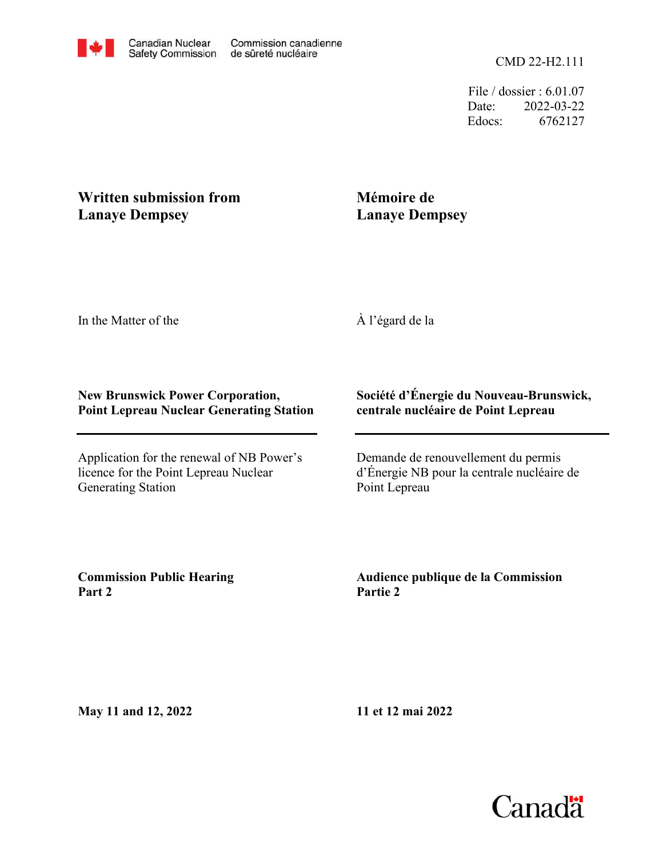File / dossier : 6.01.07 Date: 2022-03-22 Edocs: 6762127

# **Written submission from Lanaye Dempsey**

# **Mémoire de Lanaye Dempsey**

In the Matter of the

## À l'égard de la

#### **New Brunswick Power Corporation, Point Lepreau Nuclear Generating Station**

Application for the renewal of NB Power's licence for the Point Lepreau Nuclear Generating Station

### **Société d'Énergie du Nouveau-Brunswick, centrale nucléaire de Point Lepreau**

Demande de renouvellement du permis d'Énergie NB pour la centrale nucléaire de Point Lepreau

**Commission Public Hearing Part 2**

**Audience publique de la Commission Partie 2**

**May 11 and 12, 2022**

**11 et 12 mai 2022**